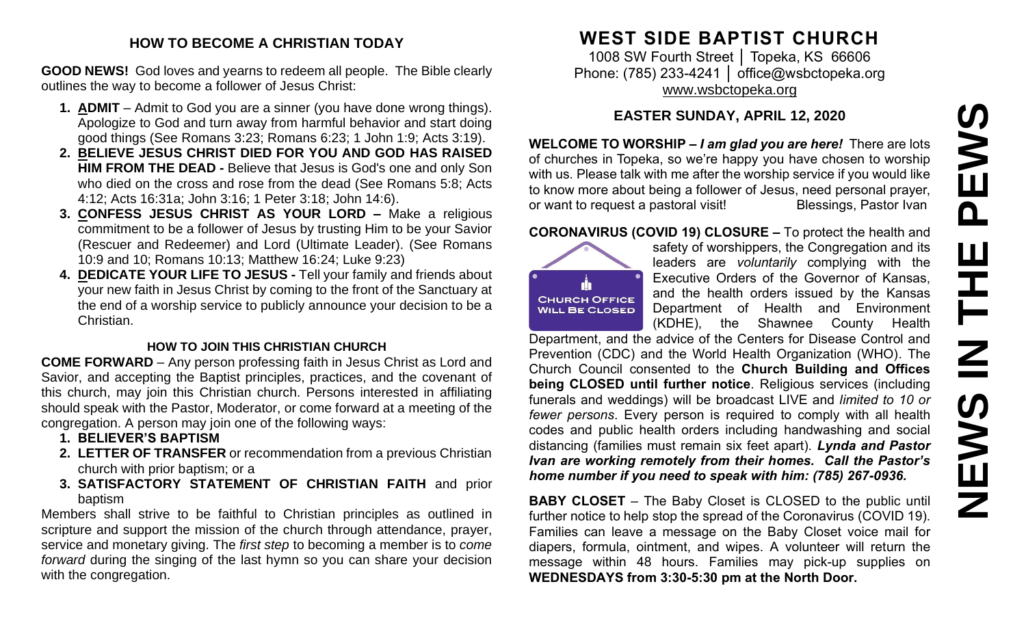### **HOW TO BECOME A CHRISTIAN TODAY**

**GOOD NEWS!** God loves and yearns to redeem all people. The Bible clearly outlines the way to become a follower of Jesus Christ:

- **1. ADMIT** Admit to God you are a sinner (you have done wrong things). Apologize to God and turn away from harmful behavior and start doing good things (See Romans 3:23; Romans 6:23; 1 John 1:9; Acts 3:19).
- **2. BELIEVE JESUS CHRIST DIED FOR YOU AND GOD HAS RAISED HIM FROM THE DEAD -** Believe that Jesus is God's one and only Son who died on the cross and rose from the dead (See Romans 5:8; Acts 4:12; Acts 16:31a; John 3:16; 1 Peter 3:18; John 14:6).
- **3. CONFESS JESUS CHRIST AS YOUR LORD –** Make a religious commitment to be a follower of Jesus by trusting Him to be your Savior (Rescuer and Redeemer) and Lord (Ultimate Leader). (See Romans 10:9 and 10; Romans 10:13; Matthew 16:24; Luke 9:23)
- **4. DEDICATE YOUR LIFE TO JESUS -** Tell your family and friends about your new faith in Jesus Christ by coming to the front of the Sanctuary at the end of a worship service to publicly announce your decision to be a Christian.

# **HOW TO JOIN THIS CHRISTIAN CHURCH**

**COME FORWARD** – Any person professing faith in Jesus Christ as Lord and Savior, and accepting the Baptist principles, practices, and the covenant of this church, may join this Christian church. Persons interested in affiliating should speak with the Pastor, Moderator, or come forward at a meeting of the congregation. A person may join one of the following ways:

- **1. BELIEVER'S BAPTISM**
- **2. LETTER OF TRANSFER** or recommendation from a previous Christian church with prior baptism; or a
- **3. SATISFACTORY STATEMENT OF CHRISTIAN FAITH** and prior baptism

Members shall strive to be faithful to Christian principles as outlined in scripture and support the mission of the church through attendance, prayer, service and monetary giving. The *first step* to becoming a member is to *come forward* during the singing of the last hymn so you can share your decision with the congregation.

# **WEST SIDE BAPTIST CHURCH**

1008 SW Fourth Street | Topeka, KS 66606 Phone: (785) 233-4241 │ [office@wsbctopeka.org](mailto:office@wsbctopeka.org) [www.wsbctopeka.org](http://www.wsbctopeka.org/)

# **EASTER SUNDAY, APRIL 12, 2020**

**WELCOME TO WORSHIP –** *I am glad you are here!* There are lots of churches in Topeka, so we're happy you have chosen to worship with us. Please talk with me after the worship service if you would like to know more about being a follower of Jesus, need personal prayer, or want to request a pastoral visit!<br>
Blessings, Pastor Ivan

## **CORONAVIRUS (COVID 19) CLOSURE –** To protect the health and



safety of worshippers, the Congregation and its leaders are *voluntarily* complying with the Executive Orders of the Governor of Kansas, and the health orders issued by the Kansas Department of Health and Environment (KDHE), the Shawnee County Health

Department, and the advice of the Centers for Disease Control and Prevention (CDC) and the World Health Organization (WHO). The Church Council consented to the **Church Building and Offices being CLOSED until further notice**. Religious services (including funerals and weddings) will be broadcast LIVE and *limited to 10 or fewer persons*. Every person is required to comply with all health codes and public health orders including handwashing and social distancing (families must remain six feet apart). *Lynda and Pastor Ivan are working remotely from their homes. Call the Pastor's home number if you need to speak with him: (785) 267-0936.* 

**BABY CLOSET** – The Baby Closet is CLOSED to the public until further notice to help stop the spread of the Coronavirus (COVID 19). Families can leave a message on the Baby Closet voice mail for diapers, formula, ointment, and wipes. A volunteer will return the message within 48 hours. Families may pick-up supplies on **WEDNESDAYS from 3:30-5:30 pm at the North Door.**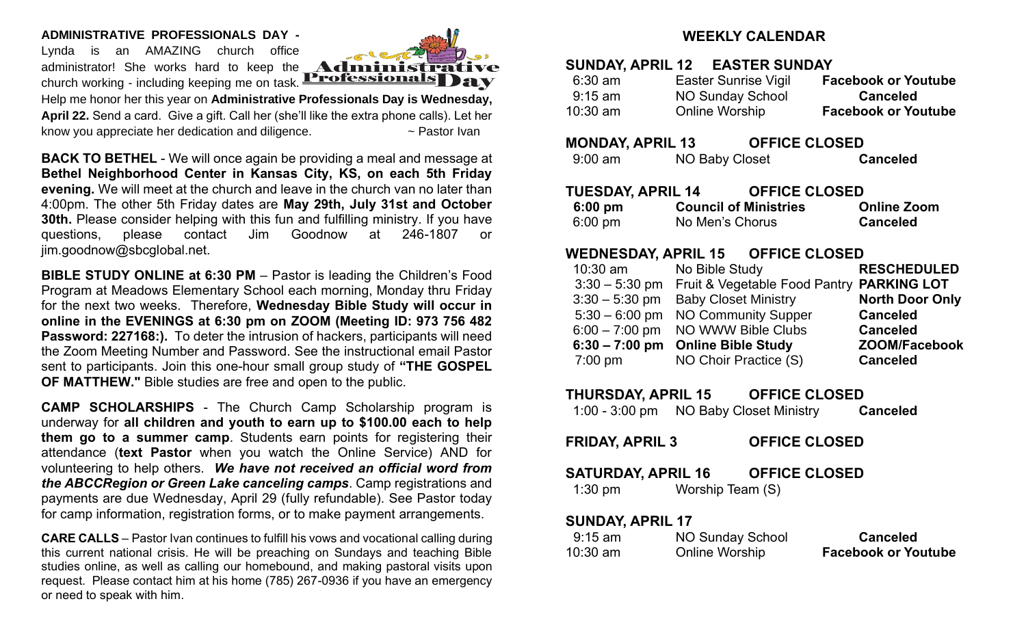#### **ADMINISTRATIVE PROFESSIONALS DAY -**

Lynda is an AMAZING church office administrator! She works hard to keep the church working - including keeping me on task. **Professionals** 



Help me honor her this year on **Administrative Professionals Day is Wednesday, April 22.** Send a card. Give a gift. Call her (she'll like the extra phone calls). Let her know you appreciate her dedication and diligence.  $\sim$  Pastor Ivan

**BACK TO BETHEL** - We will once again be providing a meal and message at **Bethel Neighborhood Center in Kansas City, KS, on each 5th Friday evening.** We will meet at the church and leave in the church van no later than 4:00pm. The other 5th Friday dates are **May 29th, July 31st and October 30th.** Please consider helping with this fun and fulfilling ministry. If you have questions, please contact Jim Goodnow at 246-1807 or [jim.goodnow@sbcglobal.net.](mailto:jim.goodnow@sbcglobal.net)

**BIBLE STUDY ONLINE at 6:30 PM** – Pastor is leading the Children's Food Program at Meadows Elementary School each morning, Monday thru Friday for the next two weeks. Therefore, **Wednesday Bible Study will occur in online in the EVENINGS at 6:30 pm on ZOOM (Meeting ID: 973 756 482 Password: 227168:).** To deter the intrusion of hackers, participants will need the Zoom Meeting Number and Password. See the instructional email Pastor sent to participants. Join this one-hour small group study of **"THE GOSPEL OF MATTHEW."** Bible studies are free and open to the public.

**CAMP SCHOLARSHIPS** - The Church Camp Scholarship program is underway for **all children and youth to earn up to \$100.00 each to help them go to a summer camp**. Students earn points for registering their attendance (**text Pastor** when you watch the Online Service) AND for volunteering to help others. *We have not received an official word from the ABCCRegion or Green Lake canceling camps*. Camp registrations and payments are due Wednesday, April 29 (fully refundable). See Pastor today for camp information, registration forms, or to make payment arrangements.

**CARE CALLS** – Pastor Ivan continues to fulfill his vows and vocational calling during this current national crisis. He will be preaching on Sundays and teaching Bible studies online, as well as calling our homebound, and making pastoral visits upon request. Please contact him at his home (785) 267-0936 if you have an emergency or need to speak with him.

#### **WEEKLY CALENDAR**

#### **SUNDAY, APRIL 12 EASTER SUNDAY**

| <b>Facebook or Youtube</b> | <b>Easter Sunrise Vigil</b> | $6:30$ am  |
|----------------------------|-----------------------------|------------|
| <b>Canceled</b>            | <b>NO Sunday School</b>     | 9:15 am    |
| <b>Facebook or Youtube</b> | Online Worship              | $10:30$ am |

#### **MONDAY, APRIL 13 OFFICE CLOSED** 9:00 am NO Baby Closet **Canceled**

#### **TUESDAY, APRIL 14 OFFICE CLOSED 6:00 pm Council of Ministries Online Zoom** 6:00 pm No Men's Chorus **Canceled**

#### **WEDNESDAY, APRIL 15 OFFICE CLOSED**

| $10:30$ am       | No Bible Study                            | <b>RESCHEDULED</b>     |
|------------------|-------------------------------------------|------------------------|
| $3:30 - 5:30$ pm | Fruit & Vegetable Food Pantry PARKING LOT |                        |
| $3:30 - 5:30$ pm | <b>Baby Closet Ministry</b>               | <b>North Door Only</b> |
| $5:30 - 6:00$ pm | <b>NO Community Supper</b>                | <b>Canceled</b>        |
| $6:00 - 7:00$ pm | <b>NO WWW Bible Clubs</b>                 | <b>Canceled</b>        |
| $6:30 - 7:00$ pm | <b>Online Bible Study</b>                 | <b>ZOOM/Facebook</b>   |
| $7:00$ pm        | NO Choir Practice (S)                     | <b>Canceled</b>        |

#### **THURSDAY, APRIL 15 OFFICE CLOSED**

| 1:00 - 3:00 pm | NO Baby Closet Ministry | <b>Canceled</b> |
|----------------|-------------------------|-----------------|
|----------------|-------------------------|-----------------|

**FRIDAY, APRIL 3 OFFICE CLOSED**

**SATURDAY, APRIL 16 OFFICE CLOSED** 1:30 pm Worship Team (S)

#### **SUNDAY, APRIL 17**

| 9:15 am  | NO Sunday School | <b>Canceled</b>            |
|----------|------------------|----------------------------|
| 10:30 am | Online Worship   | <b>Facebook or Youtube</b> |